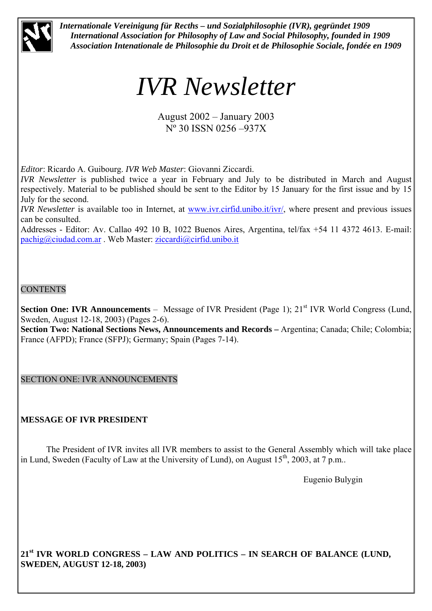

*Internationale Vereinigung für Recths – und Sozialphilosophie (IVR), gegründet 1909 International Association for Philosophy of Law and Social Philosophy, founded in 1909 Association Intenationale de Philosophie du Droit et de Philosophie Sociale, fondée en 1909* 

# *IVR Newsletter*

August 2002 – January 2003 Nº 30 ISSN 0256 –937X

*Editor*: Ricardo A. Guibourg. *IVR Web Master*: Giovanni Ziccardi.

*IVR Newsletter* is published twice a year in February and July to be distributed in March and August respectively. Material to be published should be sent to the Editor by 15 January for the first issue and by 15 July for the second.

*IVR Newsletter* is available too in Internet, at www.ivr.cirfid.unibo.it/ivr/, where present and previous issues can be consulted.

Addresses - Editor: Av. Callao 492 10 B, 1022 Buenos Aires, Argentina, tel/fax +54 11 4372 4613. E-mail: pachig@ciudad.com.ar . Web Master: ziccardi@cirfid.unibo.it

# **CONTENTS**

**Section One: IVR Announcements** – Message of IVR President (Page 1); 21<sup>st</sup> IVR World Congress (Lund, Sweden, August 12-18, 2003) (Pages 2-6).

**Section Two: National Sections News, Announcements and Records –** Argentina; Canada; Chile; Colombia; France (AFPD); France (SFPJ); Germany; Spain (Pages 7-14).

SECTION ONE: IVR ANNOUNCEMENTS

# **MESSAGE OF IVR PRESIDENT**

 The President of IVR invites all IVR members to assist to the General Assembly which will take place in Lund, Sweden (Faculty of Law at the University of Lund), on August  $15<sup>th</sup>$ , 2003, at 7 p.m..

Eugenio Bulygin

**21st IVR WORLD CONGRESS – LAW AND POLITICS – IN SEARCH OF BALANCE (LUND, SWEDEN, AUGUST 12-18, 2003)**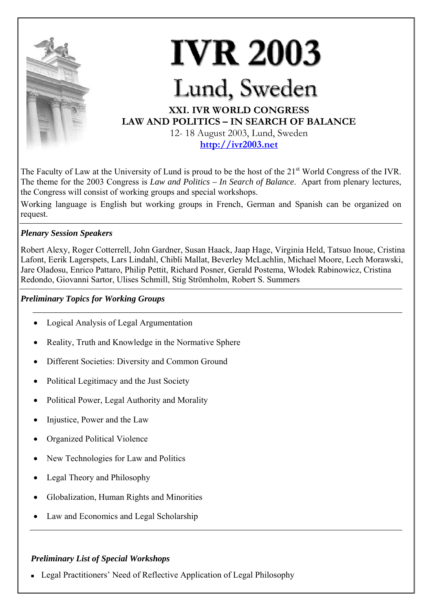

The Faculty of Law at the University of Lund is proud to be the host of the 21<sup>st</sup> World Congress of the IVR. The theme for the 2003 Congress is *Law and Politics – In Search of Balance*. Apart from plenary lectures, the Congress will consist of working groups and special workshops.

Working language is English but working groups in French, German and Spanish can be organized on request.

# *Plenary Session Speakers*

Robert Alexy, Roger Cotterrell, John Gardner, Susan Haack, Jaap Hage, Virginia Held, Tatsuo Inoue, Cristina Lafont, Eerik Lagerspets, Lars Lindahl, Chibli Mallat, Beverley McLachlin, Michael Moore, Lech Morawski, Jare Oladosu, Enrico Pattaro, Philip Pettit, Richard Posner, Gerald Postema, Włodek Rabinowicz, Cristina Redondo, Giovanni Sartor, Ulises Schmill, Stig Strömholm, Robert S. Summers

## *Preliminary Topics for Working Groups*

- Logical Analysis of Legal Argumentation
- Reality, Truth and Knowledge in the Normative Sphere
- Different Societies: Diversity and Common Ground
- Political Legitimacy and the Just Society
- Political Power, Legal Authority and Morality
- Injustice, Power and the Law
- Organized Political Violence
- New Technologies for Law and Politics
- Legal Theory and Philosophy
- Globalization, Human Rights and Minorities
- Law and Economics and Legal Scholarship

# *Preliminary List of Special Workshops*

Legal Practitioners' Need of Reflective Application of Legal Philosophy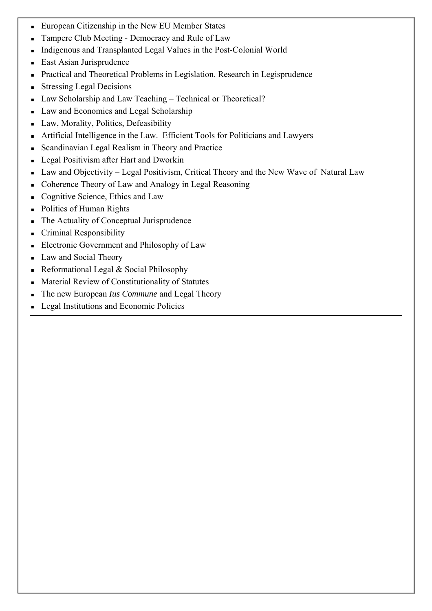- European Citizenship in the New EU Member States
- **Tampere Club Meeting Democracy and Rule of Law**
- Indigenous and Transplanted Legal Values in the Post-Colonial World
- **East Asian Jurisprudence**
- Practical and Theoretical Problems in Legislation. Research in Legisprudence
- **Stressing Legal Decisions**
- Law Scholarship and Law Teaching Technical or Theoretical?
- Law and Economics and Legal Scholarship
- Law, Morality, Politics, Defeasibility
- Artificial Intelligence in the Law. Efficient Tools for Politicians and Lawyers
- Scandinavian Legal Realism in Theory and Practice
- **Legal Positivism after Hart and Dworkin**
- Law and Objectivity Legal Positivism, Critical Theory and the New Wave of Natural Law
- Coherence Theory of Law and Analogy in Legal Reasoning
- Cognitive Science, Ethics and Law
- Politics of Human Rights
- The Actuality of Conceptual Jurisprudence
- **Criminal Responsibility**
- Electronic Government and Philosophy of Law
- Law and Social Theory
- Reformational Legal & Social Philosophy
- Material Review of Constitutionality of Statutes
- The new European *Ius Commune* and Legal Theory
- Legal Institutions and Economic Policies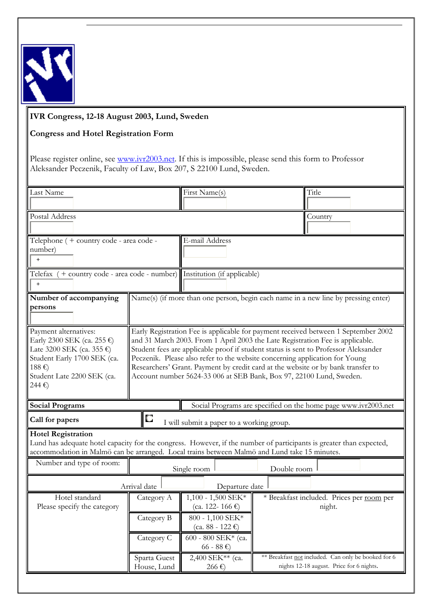

# **IVR Congress, 12-18 August 2003, Lund, Sweden**

# **Congress and Hotel Registration Form**

Please register online, see www.ivr2003.net. If this is impossible, please send this form to Professor Aleksander Peczenik, Faculty of Law, Box 207, S 22100 Lund, Sweden.

| Last Name                                                                                                           |                                                                                                                            | First Name(s)                                                               |             | Title                                                                              |  |  |  |
|---------------------------------------------------------------------------------------------------------------------|----------------------------------------------------------------------------------------------------------------------------|-----------------------------------------------------------------------------|-------------|------------------------------------------------------------------------------------|--|--|--|
|                                                                                                                     |                                                                                                                            |                                                                             |             |                                                                                    |  |  |  |
|                                                                                                                     |                                                                                                                            |                                                                             |             |                                                                                    |  |  |  |
| Postal Address<br>Country                                                                                           |                                                                                                                            |                                                                             |             |                                                                                    |  |  |  |
|                                                                                                                     |                                                                                                                            |                                                                             |             |                                                                                    |  |  |  |
| E-mail Address<br>Telephone ( + country code - area code -                                                          |                                                                                                                            |                                                                             |             |                                                                                    |  |  |  |
| number)                                                                                                             |                                                                                                                            |                                                                             |             |                                                                                    |  |  |  |
| $\ddot{}$                                                                                                           |                                                                                                                            |                                                                             |             |                                                                                    |  |  |  |
|                                                                                                                     |                                                                                                                            |                                                                             |             |                                                                                    |  |  |  |
| Telefax $(+$ country code - area code - number) Institution (if applicable)                                         |                                                                                                                            |                                                                             |             |                                                                                    |  |  |  |
| $\ddot{}$                                                                                                           |                                                                                                                            |                                                                             |             |                                                                                    |  |  |  |
| Number of accompanying                                                                                              |                                                                                                                            |                                                                             |             | Name(s) (if more than one person, begin each name in a new line by pressing enter) |  |  |  |
| persons                                                                                                             |                                                                                                                            |                                                                             |             |                                                                                    |  |  |  |
|                                                                                                                     |                                                                                                                            |                                                                             |             |                                                                                    |  |  |  |
|                                                                                                                     |                                                                                                                            |                                                                             |             |                                                                                    |  |  |  |
| Payment alternatives:                                                                                               | Early Registration Fee is applicable for payment received between 1 September 2002                                         |                                                                             |             |                                                                                    |  |  |  |
| Early 2300 SEK (ca. 255 $\epsilon$ )                                                                                | and 31 March 2003. From 1 April 2003 the Late Registration Fee is applicable.                                              |                                                                             |             |                                                                                    |  |  |  |
|                                                                                                                     | Late 3200 SEK (ca. 355 $\epsilon$ )<br>Student fees are applicable proof if student status is sent to Professor Aleksander |                                                                             |             |                                                                                    |  |  |  |
| Student Early 1700 SEK (ca.                                                                                         |                                                                                                                            | Peczenik. Please also refer to the website concerning application for Young |             |                                                                                    |  |  |  |
| 188€)                                                                                                               | Researchers' Grant. Payment by credit card at the website or by bank transfer to                                           |                                                                             |             |                                                                                    |  |  |  |
| Student Late 2200 SEK (ca.                                                                                          |                                                                                                                            | Account number 5624-33 006 at SEB Bank, Box 97, 22100 Lund, Sweden.         |             |                                                                                    |  |  |  |
|                                                                                                                     |                                                                                                                            |                                                                             |             |                                                                                    |  |  |  |
| 244€)                                                                                                               |                                                                                                                            |                                                                             |             |                                                                                    |  |  |  |
|                                                                                                                     |                                                                                                                            |                                                                             |             |                                                                                    |  |  |  |
| <b>Social Programs</b>                                                                                              |                                                                                                                            |                                                                             |             | Social Programs are specified on the home page www.ivr2003.net                     |  |  |  |
|                                                                                                                     |                                                                                                                            |                                                                             |             |                                                                                    |  |  |  |
| Call for papers                                                                                                     | О                                                                                                                          | I will submit a paper to a working group.                                   |             |                                                                                    |  |  |  |
| <b>Hotel Registration</b>                                                                                           |                                                                                                                            |                                                                             |             |                                                                                    |  |  |  |
| Lund has adequate hotel capacity for the congress. However, if the number of participants is greater than expected, |                                                                                                                            |                                                                             |             |                                                                                    |  |  |  |
| accommodation in Malmö can be arranged. Local trains between Malmö and Lund take 15 minutes.                        |                                                                                                                            |                                                                             |             |                                                                                    |  |  |  |
| Number and type of room:                                                                                            |                                                                                                                            |                                                                             |             |                                                                                    |  |  |  |
|                                                                                                                     |                                                                                                                            | Single room                                                                 | Double room |                                                                                    |  |  |  |
|                                                                                                                     | Arrival date                                                                                                               | Departure date                                                              |             |                                                                                    |  |  |  |
|                                                                                                                     |                                                                                                                            |                                                                             |             |                                                                                    |  |  |  |
| Hotel standard                                                                                                      | Category A                                                                                                                 | $1,100 - 1,500$ SEK*                                                        |             | * Breakfast included. Prices per room per                                          |  |  |  |
| Please specify the category                                                                                         |                                                                                                                            | $(ca. 122 - 166 \epsilon)$                                                  |             | night.                                                                             |  |  |  |
|                                                                                                                     | Category B                                                                                                                 | 800 - 1,100 SEK*                                                            |             |                                                                                    |  |  |  |
|                                                                                                                     |                                                                                                                            | $(ca. 88 - 122 €)$                                                          |             |                                                                                    |  |  |  |
|                                                                                                                     | Category C                                                                                                                 | 600 - 800 SEK* (ca.                                                         |             |                                                                                    |  |  |  |
|                                                                                                                     |                                                                                                                            | $66 - 88 \t∈$                                                               |             |                                                                                    |  |  |  |
|                                                                                                                     | Sparta Guest                                                                                                               | 2,400 SEK** (ca.                                                            |             | ** Breakfast not included. Can only be booked for 6                                |  |  |  |
|                                                                                                                     | House, Lund                                                                                                                | 266 $\varepsilon$                                                           |             | nights 12-18 august. Price for 6 nights.                                           |  |  |  |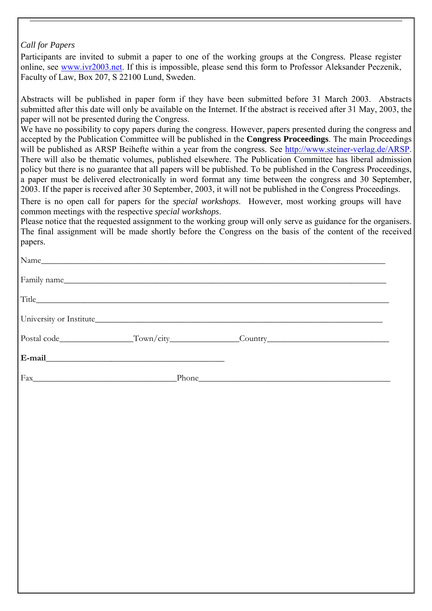# *Call for Papers*

Participants are invited to submit a paper to one of the working groups at the Congress*.* Please register online, see www.ivr2003.net. If this is impossible, please send this form to Professor Aleksander Peczenik, Faculty of Law, Box 207, S 22100 Lund, Sweden.

Abstracts will be published in paper form if they have been submitted before 31 March 2003. Abstracts submitted after this date will only be available on the Internet. If the abstract is received after 31 May, 2003, the paper will not be presented during the Congress.

We have no possibility to copy papers during the congress. However, papers presented during the congress and accepted by the Publication Committee will be published in the **Congress Proceedings**. The main Proceedings will be published as ARSP Beihefte within a year from the congress. See http://www.steiner-verlag.de/ARSP. There will also be thematic volumes, published elsewhere. The Publication Committee has liberal admission policy but there is no guarantee that all papers will be published. To be published in the Congress Proceedings, a paper must be delivered electronically in word format any time between the congress and 30 September, 2003. If the paper is received after 30 September, 2003, it will not be published in the Congress Proceedings.

There is no open call for papers for the *special workshops*. However, most working groups will have common meetings with the respective *special workshops*.

Please notice that the requested assignment to the working group will only serve as guidance for the organisers. The final assignment will be made shortly before the Congress on the basis of the content of the received papers.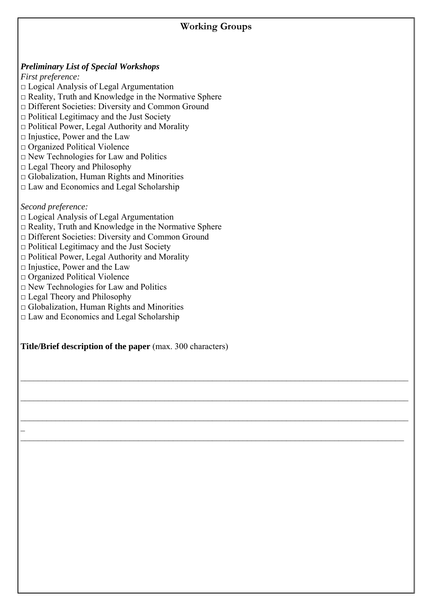# **Working Groups**

 $\_$  , and the contribution of the contribution of the contribution of the contribution of the contribution of  $\mathcal{L}_\text{max}$ 

 $\_$  , and the contribution of the contribution of the contribution of the contribution of the contribution of  $\mathcal{L}_\text{max}$ 

 $\mathcal{L}_\mathcal{L} = \mathcal{L}_\mathcal{L} = \mathcal{L}_\mathcal{L} = \mathcal{L}_\mathcal{L} = \mathcal{L}_\mathcal{L} = \mathcal{L}_\mathcal{L} = \mathcal{L}_\mathcal{L} = \mathcal{L}_\mathcal{L} = \mathcal{L}_\mathcal{L} = \mathcal{L}_\mathcal{L} = \mathcal{L}_\mathcal{L} = \mathcal{L}_\mathcal{L} = \mathcal{L}_\mathcal{L} = \mathcal{L}_\mathcal{L} = \mathcal{L}_\mathcal{L} = \mathcal{L}_\mathcal{L} = \mathcal{L}_\mathcal{L}$ 

 $\_$  , and the contribution of the contribution of the contribution of the contribution of the contribution of  $\mathcal{L}_\text{max}$ 

# *Preliminary List of Special Workshops*

*First preference:* 

- □ Logical Analysis of Legal Argumentation
- $\Box$  Reality, Truth and Knowledge in the Normative Sphere
- □ Different Societies: Diversity and Common Ground
- $\Box$  Political Legitimacy and the Just Society
- □ Political Power, Legal Authority and Morality
- $\square$  Injustice, Power and the Law
- □ Organized Political Violence
- $\Box$  New Technologies for Law and Politics
- $\Box$  Legal Theory and Philosophy
- $\Box$  Globalization, Human Rights and Minorities
- $\Box$  Law and Economics and Legal Scholarship

*Second preference:* 

 $\mathcal{L}(\mathcal{L})$ 

- □ Logical Analysis of Legal Argumentation
- $\Box$  Reality, Truth and Knowledge in the Normative Sphere
- □ Different Societies: Diversity and Common Ground
- $\Box$  Political Legitimacy and the Just Society
- $\Box$  Political Power, Legal Authority and Morality
- $\Box$  Injustice, Power and the Law
- □ Organized Political Violence
- □ New Technologies for Law and Politics
- □ Legal Theory and Philosophy
- $\Box$  Globalization, Human Rights and Minorities
- □ Law and Economics and Legal Scholarship

**Title/Brief description of the paper** (max. 300 characters)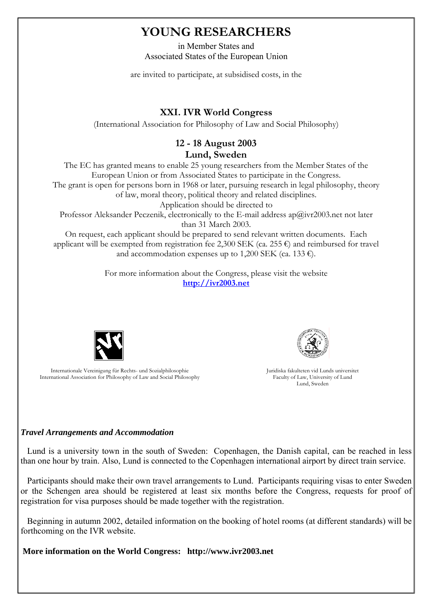# **YOUNG RESEARCHERS**

in Member States and Associated States of the European Union

are invited to participate, at subsidised costs, in the

# **XXI. IVR World Congress**

(International Association for Philosophy of Law and Social Philosophy)

# **12 - 18 August 2003**

**Lund, Sweden**

The EC has granted means to enable 25 young researchers from the Member States of the European Union or from Associated States to participate in the Congress. The grant is open for persons born in 1968 or later, pursuing research in legal philosophy, theory of law, moral theory, political theory and related disciplines. Application should be directed to Professor Aleksander Peczenik, electronically to the E-mail address  $a\mathbf{p}(\hat{a})$ ivr2003.net not later than 31 March 2003.

On request, each applicant should be prepared to send relevant written documents. Each applicant will be exempted from registration fee 2,300 SEK (ca. 255  $\epsilon$ ) and reimbursed for travel and accommodation expenses up to 1,200 SEK (ca. 133  $\epsilon$ ).

> For more information about the Congress, please visit the website **http://ivr2003.net**



Internationale Vereinigung für Rechts- und Sozialphilosophie International Association for Philosophy of Law and Social Philosophy



Juridiska fakulteten vid Lunds universitet Faculty of Law, University of Lund Lund, Sweden

#### *Travel Arrangements and Accommodation*

 Lund is a university town in the south of Sweden: Copenhagen, the Danish capital, can be reached in less than one hour by train. Also, Lund is connected to the Copenhagen international airport by direct train service.

 Participants should make their own travel arrangements to Lund. Participants requiring visas to enter Sweden or the Schengen area should be registered at least six months before the Congress, requests for proof of registration for visa purposes should be made together with the registration.

 Beginning in autumn 2002, detailed information on the booking of hotel rooms (at different standards) will be forthcoming on the IVR website.

**More information on the World Congress: http://www.ivr2003.net**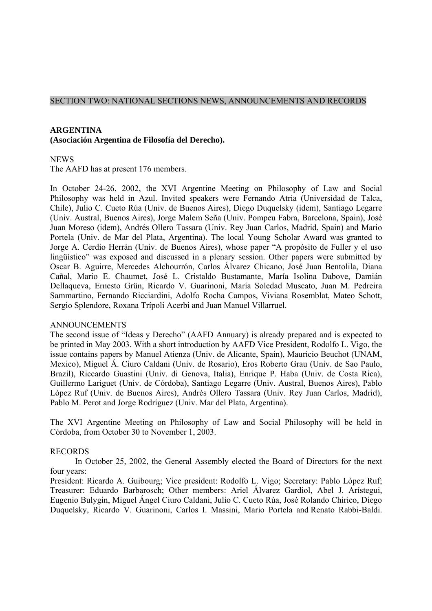#### SECTION TWO: NATIONAL SECTIONS NEWS, ANNOUNCEMENTS AND RECORDS

#### **ARGENTINA**

#### **(Asociación Argentina de Filosofía del Derecho).**

#### **NEWS**

The AAFD has at present 176 members.

In October 24-26, 2002, the XVI Argentine Meeting on Philosophy of Law and Social Philosophy was held in Azul. Invited speakers were Fernando Atria (Universidad de Talca, Chile), Julio C. Cueto Rúa (Univ. de Buenos Aires), Diego Duquelsky (idem), Santiago Legarre (Univ. Austral, Buenos Aires), Jorge Malem Seña (Univ. Pompeu Fabra, Barcelona, Spain), José Juan Moreso (idem), Andrés Ollero Tassara (Univ. Rey Juan Carlos, Madrid, Spain) and Mario Portela (Univ. de Mar del Plata, Argentina). The local Young Scholar Award was granted to Jorge A. Cerdio Herrán (Univ. de Buenos Aires), whose paper "A propósito de Fuller y el uso lingüístico" was exposed and discussed in a plenary session. Other papers were submitted by Oscar B. Aguirre, Mercedes Alchourrón, Carlos Álvarez Chicano, José Juan Bentolila, Diana Cañal, Mario E. Chaumet, José L. Cristaldo Bustamante, María Isolina Dabove, Damián Dellaqueva, Ernesto Grün, Ricardo V. Guarinoni, María Soledad Muscato, Juan M. Pedreira Sammartino, Fernando Ricciardini, Adolfo Rocha Campos, Viviana Rosemblat, Mateo Schott, Sergio Splendore, Roxana Trípoli Acerbi and Juan Manuel Villarruel.

#### ANNOUNCEMENTS

The second issue of "Ideas y Derecho" (AAFD Annuary) is already prepared and is expected to be printed in May 2003. With a short introduction by AAFD Vice President, Rodolfo L. Vigo, the issue contains papers by Manuel Atienza (Univ. de Alicante, Spain), Mauricio Beuchot (UNAM, Mexico), Miguel Á. Ciuro Caldani (Univ. de Rosario), Eros Roberto Grau (Univ. de Sao Paulo, Brazil), Riccardo Guastini (Univ. di Genova, Italia), Enrique P. Haba (Univ. de Costa Rica), Guillermo Lariguet (Univ. de Córdoba), Santiago Legarre (Univ. Austral, Buenos Aires), Pablo López Ruf (Univ. de Buenos Aires), Andrés Ollero Tassara (Univ. Rey Juan Carlos, Madrid), Pablo M. Perot and Jorge Rodríguez (Univ. Mar del Plata, Argentina).

The XVI Argentine Meeting on Philosophy of Law and Social Philosophy will be held in Córdoba, from October 30 to November 1, 2003.

#### RECORDS

In October 25, 2002, the General Assembly elected the Board of Directors for the next four years:

President: Ricardo A. Guibourg; Vice president: Rodolfo L. Vigo; Secretary: Pablo López Ruf; Treasurer: Eduardo Barbarosch; Other members: Ariel Álvarez Gardiol, Abel J. Arístegui, Eugenio Bulygin, Miguel Ángel Ciuro Caldani, Julio C. Cueto Rúa, José Rolando Chirico, Diego Duquelsky, Ricardo V. Guarinoni, Carlos I. Massini, Mario Portela and Renato Rabbi-Baldi.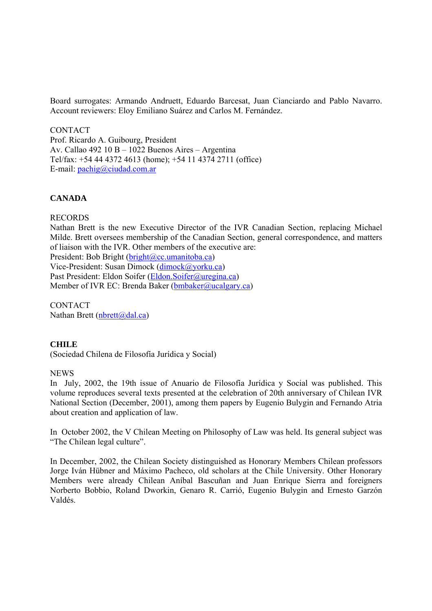Board surrogates: Armando Andruett, Eduardo Barcesat, Juan Cianciardo and Pablo Navarro. Account reviewers: Eloy Emiliano Suárez and Carlos M. Fernández.

**CONTACT** Prof. Ricardo A. Guibourg, President Av. Callao 492 10 B – 1022 Buenos Aires – Argentina Tel/fax: +54 44 4372 4613 (home); +54 11 4374 2711 (office) E-mail: pachig@ciudad.com.ar

#### **CANADA**

#### RECORDS

Nathan Brett is the new Executive Director of the IVR Canadian Section, replacing Michael Milde. Brett oversees membership of the Canadian Section, general correspondence, and matters of liaison with the IVR. Other members of the executive are:

President: Bob Bright (bright@cc.umanitoba.ca)

Vice-President: Susan Dimock (dimock@yorku.ca) Past President: Eldon Soifer (Eldon.Soifer@uregina.ca)

Member of IVR EC: Brenda Baker (bmbaker@ucalgary.ca)

**CONTACT** Nathan Brett ( $nbert(a)$ dal.ca)

#### **CHILE**

(Sociedad Chilena de Filosofía Jurídica y Social)

#### NEWS

In July, 2002, the 19th issue of Anuario de Filosofía Jurídica y Social was published. This volume reproduces several texts presented at the celebration of 20th anniversary of Chilean IVR National Section (December, 2001), among them papers by Eugenio Bulygin and Fernando Atria about creation and application of law.

In October 2002, the V Chilean Meeting on Philosophy of Law was held. Its general subject was "The Chilean legal culture".

In December, 2002, the Chilean Society distinguished as Honorary Members Chilean professors Jorge Iván Hübner and Máximo Pacheco, old scholars at the Chile University. Other Honorary Members were already Chilean Aníbal Bascuñan and Juan Enrique Sierra and foreigners Norberto Bobbio, Roland Dworkin, Genaro R. Carrió, Eugenio Bulygin and Ernesto Garzón Valdés.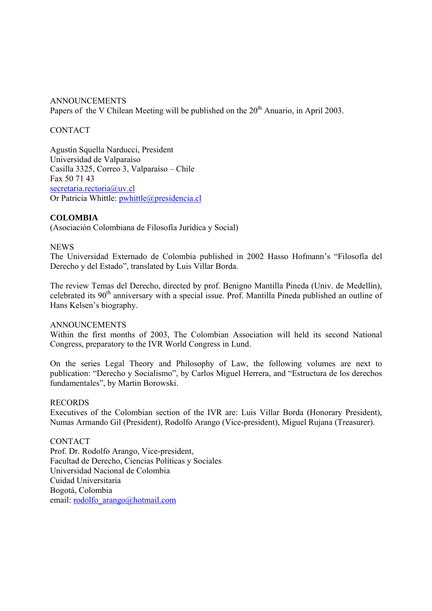ANNOUNCEMENTS Papers of the V Chilean Meeting will be published on the 20<sup>th</sup> Anuario, in April 2003.

#### **CONTACT**

Agustín Squella Narducci, President Universidad de Valparaíso Casilla 3325, Correo 3, Valparaíso – Chile Fax 50 71 43 secretaria.rectoria@uv.cl Or Patricia Whittle: pwhittle@presidencia.cl

#### **COLOMBIA**

(Asociación Colombiana de Filosofía Jurídica y Social)

#### **NEWS**

The Universidad Externado de Colombia published in 2002 Hasso Hofmann's "Filosofía del Derecho y del Estado", translated by Luis Villar Borda.

The review Temas del Derecho, directed by prof. Benigno Mantilla Pineda (Univ. de Medellín), celebrated its 90<sup>th</sup> anniversary with a special issue. Prof. Mantilla Pineda published an outline of Hans Kelsen's biography.

#### ANNOUNCEMENTS

Within the first months of 2003, The Colombian Association will held its second National Congress, preparatory to the IVR World Congress in Lund.

On the series Legal Theory and Philosophy of Law, the following volumes are next to publication: "Derecho y Socialismo", by Carlos Miguel Herrera, and "Estructura de los derechos fundamentales", by Martin Borowski.

#### RECORDS

Executives of the Colombian section of the IVR are: Luis Villar Borda (Honorary President), Numas Armando Gil (President), Rodolfo Arango (Vice-president), Miguel Rujana (Treasurer).

#### CONTACT

Prof. Dr. Rodolfo Arango, Vice-president, Facultad de Derecho, Ciencias Políticas y Sociales Universidad Nacional de Colombia Cuidad Universitaria Bogotá, Colombia email: rodolfo\_arango@hotmail.com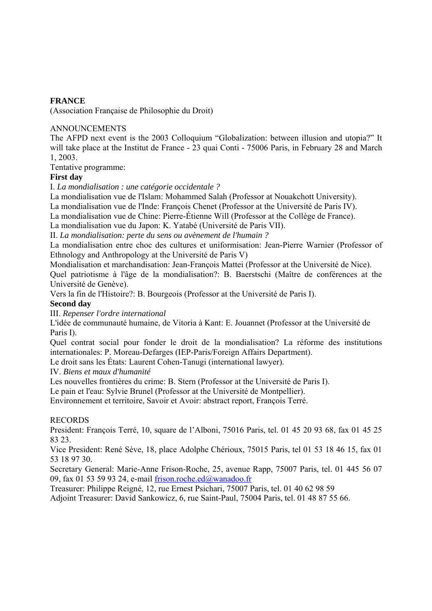### **FRANCE**

(Association Française de Philosophie du Droit)

#### ANNOUNCEMENTS

The AFPD next event is the 2003 Colloquium "Globalization: between illusion and utopia?" It will take place at the Institut de France - 23 quai Conti - 75006 Paris, in February 28 and March 1, 2003.

Tentative programme:

#### **First day**

I. *La mondialisation : une catégorie occidentale ?* 

La mondialisation vue de l'Islam: Mohammed Salah (Professor at Nouakchott University).

La mondialisation vue de l'Inde: François Chenet (Professor at the Université de Paris IV).

La mondialisation vue de Chine: Pierre-Étienne Will (Professor at the Collège de France).

La mondialisation vue du Japon: K. Yatabé (Université de Paris VII).

II. *La mondialisation: perte du sens ou avènement de l'humain ?* 

La mondialisation entre choc des cultures et uniformisation: Jean-Pierre Warnier (Professor of Ethnology and Anthropology at the Université de Paris V)

Mondialisation et marchandisation: Jean-François Mattei (Professor at the Université de Nice). Quel patriotisme à l'âge de la mondialisation?: B. Baerstschi (Maître de conférences at the Université de Genève).

Vers la fin de l'Histoire?: B. Bourgeois (Professor at the Université de Paris I).

#### **Second day**

III. *Repenser l'ordre international* 

L'idée de communauté humaine, de Vitoria à Kant: E. Jouannet (Professor at the Université de Paris I).

Quel contrat social pour fonder le droit de la mondialisation? La réforme des institutions internationales: P. Moreau-Defarges (IEP-Paris/Foreign Affairs Department).

Le droit sans les États: Laurent Cohen-Tanugi (international lawyer).

IV. *Biens et maux d'humanité* 

Les nouvelles frontières du crime: B. Stern (Professor at the Université de Paris I).

Le pain et l'eau: Sylvie Brunel (Professor at the Université de Montpellier).

Environnement et territoire, Savoir et Avoir: abstract report, François Terré.

#### RECORDS

President: François Terré, 10, square de l'Alboni, 75016 Paris, tel. 01 45 20 93 68, fax 01 45 25 83 23.

Vice President: René Sève, 18, place Adolphe Chérioux, 75015 Paris, tel 01 53 18 46 15, fax 01 53 18 97 30.

Secretary General: Marie-Anne Frison-Roche, 25, avenue Rapp, 75007 Paris, tel. 01 445 56 07 09, fax 01 53 59 93 24, e-mail frison.roche.ed@wanadoo.fr

Treasurer: Philippe Reigné, 12, rue Ernest Psichari, 75007 Paris, tel. 01 40 62 98 59

Adjoint Treasurer: David Sankowicz, 6, rue Saint-Paul, 75004 Paris, tel. 01 48 87 55 66.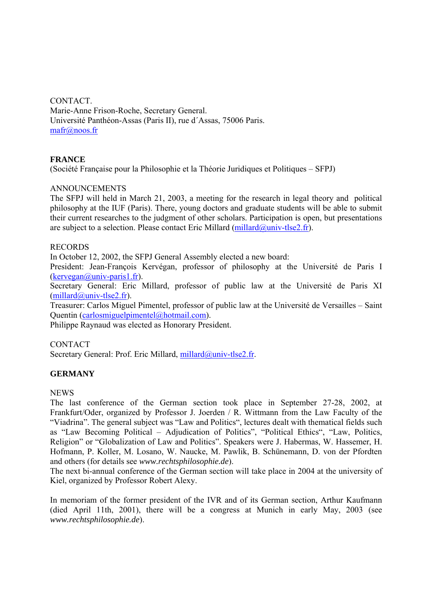CONTACT. Marie-Anne Frison-Roche, Secretary General. Université Panthéon-Assas (Paris II), rue d´Assas, 75006 Paris. mafr@noos.fr

# **FRANCE**

(Société Française pour la Philosophie et la Théorie Juridiques et Politiques – SFPJ)

#### ANNOUNCEMENTS

The SFPJ will held in March 21, 2003, a meeting for the research in legal theory and political philosophy at the IUF (Paris). There, young doctors and graduate students will be able to submit their current researches to the judgment of other scholars. Participation is open, but presentations are subject to a selection. Please contact Eric Millard  $(millard@univ-tlse2.fr)$ .

#### RECORDS

In October 12, 2002, the SFPJ General Assembly elected a new board:

President: Jean-François Kervégan, professor of philosophy at the Université de Paris I (kervegan@univ-paris1.fr).

Secretary General: Eric Millard, professor of public law at the Université de Paris XI  $(millard@univ-tlse2.fr)$ .

Treasurer: Carlos Miguel Pimentel, professor of public law at the Université de Versailles – Saint Quentin (carlosmiguelpimentel@hotmail.com).

Philippe Raynaud was elected as Honorary President.

#### CONTACT

Secretary General: Prof. Eric Millard, millard@univ-tlse2.fr.

#### **GERMANY**

#### **NEWS**

The last conference of the German section took place in September 27-28, 2002, at Frankfurt/Oder, organized by Professor J. Joerden / R. Wittmann from the Law Faculty of the "Viadrina". The general subject was "Law and Politics", lectures dealt with thematical fields such as "Law Becoming Political – Adjudication of Politics", "Political Ethics", "Law, Politics, Religion" or "Globalization of Law and Politics". Speakers were J. Habermas, W. Hassemer, H. Hofmann, P. Koller, M. Losano, W. Naucke, M. Pawlik, B. Schünemann, D. von der Pfordten and others (for details see *www.rechtsphilosophie.de*).

The next bi-annual conference of the German section will take place in 2004 at the university of Kiel, organized by Professor Robert Alexy.

In memoriam of the former president of the IVR and of its German section, Arthur Kaufmann (died April 11th, 2001), there will be a congress at Munich in early May, 2003 (see *www.rechtsphilosophie.de*).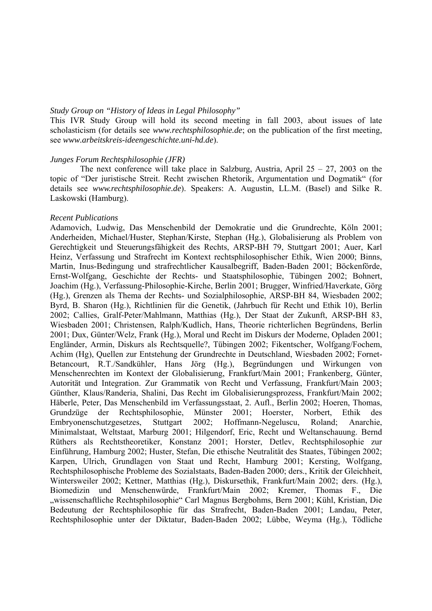#### *Study Group on "History of Ideas in Legal Philosophy"*

This IVR Study Group will hold its second meeting in fall 2003, about issues of late scholasticism (for details see *www.rechtsphilosophie.de*; on the publication of the first meeting, see *www.arbeitskreis-ideengeschichte.uni-hd.de*).

#### *Junges Forum Rechtsphilosophie (JFR)*

The next conference will take place in Salzburg, Austria, April  $25 - 27$ , 2003 on the topic of "Der juristische Streit. Recht zwischen Rhetorik, Argumentation und Dogmatik" (for details see *www.rechtsphilosophie.de*). Speakers: A. Augustin, LL.M. (Basel) and Silke R. Laskowski (Hamburg).

#### *Recent Publications*

Adamovich, Ludwig, Das Menschenbild der Demokratie und die Grundrechte, Köln 2001; Anderheiden, Michael/Huster, Stephan/Kirste, Stephan (Hg.), Globalisierung als Problem von Gerechtigkeit und Steuerungsfähigkeit des Rechts, ARSP-BH 79, Stuttgart 2001; Auer, Karl Heinz, Verfassung und Strafrecht im Kontext rechtsphilosophischer Ethik, Wien 2000; Binns, Martin, Inus-Bedingung und strafrechtlicher Kausalbegriff, Baden-Baden 2001; Böckenförde, Ernst-Wolfgang, Geschichte der Rechts- und Staatsphilosophie, Tübingen 2002; Bohnert, Joachim (Hg.), Verfassung-Philosophie-Kirche, Berlin 2001; Brugger, Winfried/Haverkate, Görg (Hg.), Grenzen als Thema der Rechts- und Sozialphilosophie, ARSP-BH 84, Wiesbaden 2002; Byrd, B. Sharon (Hg.), Richtlinien für die Genetik, (Jahrbuch für Recht und Ethik 10), Berlin 2002; Callies, Gralf-Peter/Mahlmann, Matthias (Hg.), Der Staat der Zukunft, ARSP-BH 83, Wiesbaden 2001; Christensen, Ralph/Kudlich, Hans, Theorie richterlichen Begründens, Berlin 2001; Dux, Günter/Welz, Frank (Hg.), Moral und Recht im Diskurs der Moderne, Opladen 2001; Engländer, Armin, Diskurs als Rechtsquelle?, Tübingen 2002; Fikentscher, Wolfgang/Fochem, Achim (Hg), Quellen zur Entstehung der Grundrechte in Deutschland, Wiesbaden 2002; Fornet-Betancourt, R.T./Sandkühler, Hans Jörg (Hg.), Begründungen und Wirkungen von Menschenrechten im Kontext der Globalisierung, Frankfurt/Main 2001; Frankenberg, Günter, Autorität und Integration. Zur Grammatik von Recht und Verfassung, Frankfurt/Main 2003; Günther, Klaus/Randeria, Shalini, Das Recht im Globalisierungsprozess, Frankfurt/Main 2002; Häberle, Peter, Das Menschenbild im Verfassungsstaat, 2. Aufl., Berlin 2002; Hoeren, Thomas, Grundzüge der Rechtsphilosophie, Münster 2001; Hoerster, Norbert, Ethik des Embryonenschutzgesetzes, Stuttgart 2002; Hoffmann-Negeluscu, Roland; Anarchie, Minimalstaat, Weltstaat, Marburg 2001; Hilgendorf, Eric, Recht und Weltanschauung. Bernd Rüthers als Rechtstheoretiker, Konstanz 2001; Horster, Detlev, Rechtsphilosophie zur Einführung, Hamburg 2002; Huster, Stefan, Die ethische Neutralität des Staates, Tübingen 2002; Karpen, Ulrich, Grundlagen von Staat und Recht, Hamburg 2001; Kersting, Wolfgang, Rechtsphilosophische Probleme des Sozialstaats, Baden-Baden 2000; ders., Kritik der Gleichheit, Wintersweiler 2002; Kettner, Matthias (Hg.), Diskursethik, Frankfurt/Main 2002; ders. (Hg.), Biomedizin und Menschenwürde, Frankfurt/Main 2002; Kremer, Thomas F., Die "wissenschaftliche Rechtsphilosophie" Carl Magnus Bergbohms, Bern 2001; Kühl, Kristian, Die Bedeutung der Rechtsphilosophie für das Strafrecht, Baden-Baden 2001; Landau, Peter, Rechtsphilosophie unter der Diktatur, Baden-Baden 2002; Lübbe, Weyma (Hg.), Tödliche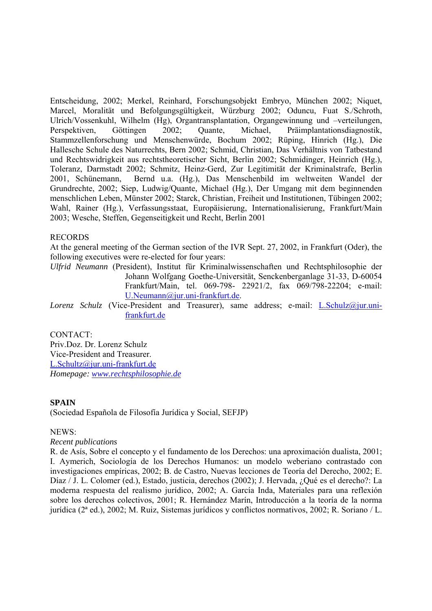Entscheidung, 2002; Merkel, Reinhard, Forschungsobjekt Embryo, München 2002; Niquet, Marcel, Moralität und Befolgungsgültigkeit, Würzburg 2002; Oduncu, Fuat S./Schroth, Ulrich/Vossenkuhl, Wilhelm (Hg), Organtransplantation, Organgewinnung und –verteilungen, Perspektiven, Göttingen 2002; Quante, Michael, Präimplantationsdiagnostik, Stammzellenforschung und Menschenwürde, Bochum 2002; Rüping, Hinrich (Hg.), Die Hallesche Schule des Naturrechts, Bern 2002; Schmid, Christian, Das Verhältnis von Tatbestand und Rechtswidrigkeit aus rechtstheoretischer Sicht, Berlin 2002; Schmidinger, Heinrich (Hg.), Toleranz, Darmstadt 2002; Schmitz, Heinz-Gerd, Zur Legitimität der Kriminalstrafe, Berlin 2001, Schünemann, Bernd u.a. (Hg.), Das Menschenbild im weltweiten Wandel der Grundrechte, 2002; Siep, Ludwig/Quante, Michael (Hg.), Der Umgang mit dem beginnenden menschlichen Leben, Münster 2002; Starck, Christian, Freiheit und Institutionen, Tübingen 2002; Wahl, Rainer (Hg.), Verfassungsstaat, Europäisierung, Internationalisierung, Frankfurt/Main 2003; Wesche, Steffen, Gegenseitigkeit und Recht, Berlin 2001

#### RECORDS

At the general meeting of the German section of the IVR Sept. 27, 2002, in Frankfurt (Oder), the following executives were re-elected for four years:

*Ulfrid Neumann* (President), Institut für Kriminalwissenschaften und Rechtsphilosophie der Johann Wolfgang Goethe-Universität, Senckenberganlage 31-33, D-60054 Frankfurt/Main, tel. 069-798- 22921/2, fax 069/798-22204; e-mail: U.Neumann@jur.uni-frankfurt.de.

*Lorenz Schulz* (Vice-President and Treasurer), same address; e-mail: L.Schulz@jur.unifrankfurt.de

CONTACT: Priv.Doz. Dr. Lorenz Schulz Vice-President and Treasurer. L.Schultz@jur.uni-frankfurt.de *Homepage: www.rechtsphilosophie.de*

#### **SPAIN**

(Sociedad Española de Filosofía Jurídica y Social, SEFJP)

#### NEWS:

#### *Recent publications*

R. de Asís, Sobre el concepto y el fundamento de los Derechos: una aproximación dualista, 2001; I. Aymerich, Sociología de los Derechos Humanos: un modelo weberiano contrastado con investigaciones empíricas, 2002; B. de Castro, Nuevas lecciones de Teoría del Derecho, 2002; E. Díaz / J. L. Colomer (ed.), Estado, justicia, derechos (2002); J. Hervada, ¿Qué es el derecho?: La moderna respuesta del realismo jurídico, 2002; A. García Inda, Materiales para una reflexión sobre los derechos colectivos, 2001; R. Hernández Marín, Introducción a la teoría de la norma jurídica (2ª ed.), 2002; M. Ruiz, Sistemas jurídicos y conflictos normativos, 2002; R. Soriano / L.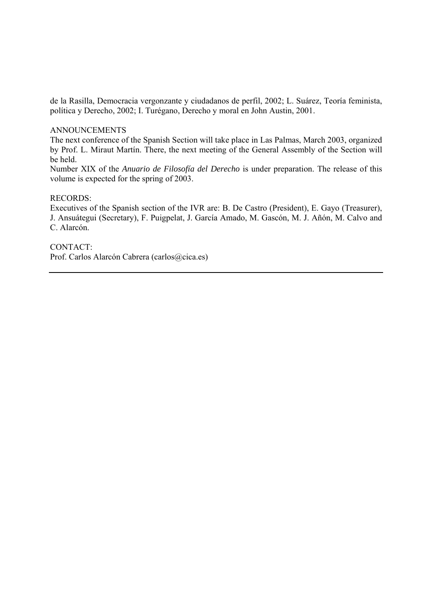de la Rasilla, Democracia vergonzante y ciudadanos de perfil, 2002; L. Suárez, Teoría feminista, política y Derecho, 2002; I. Turégano, Derecho y moral en John Austin, 2001.

#### ANNOUNCEMENTS

The next conference of the Spanish Section will take place in Las Palmas, March 2003, organized by Prof. L. Miraut Martín. There, the next meeting of the General Assembly of the Section will be held.

Number XIX of the *Anuario de Filosofía del Derecho* is under preparation. The release of this volume is expected for the spring of 2003.

#### RECORDS:

Executives of the Spanish section of the IVR are: B. De Castro (President), E. Gayo (Treasurer), J. Ansuátegui (Secretary), F. Puigpelat, J. García Amado, M. Gascón, M. J. Añón, M. Calvo and C. Alarcón.

CONTACT: Prof. Carlos Alarcón Cabrera (carlos@cica.es)